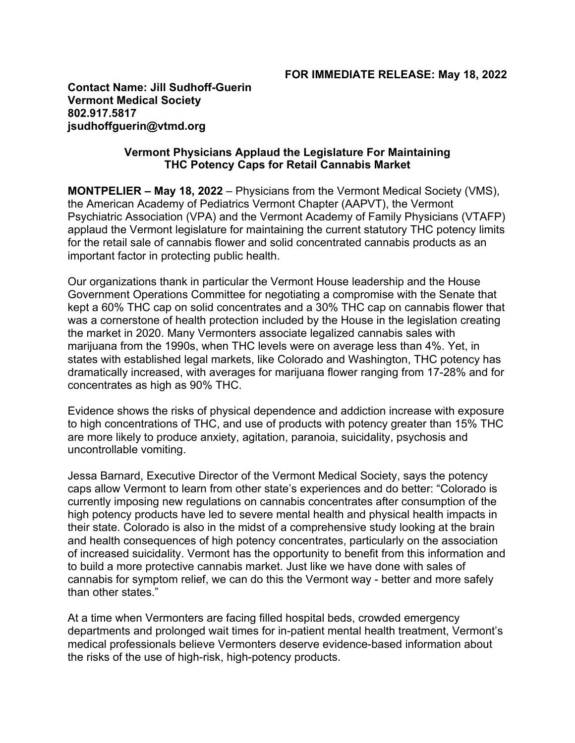**Contact Name: Jill Sudhoff-Guerin Vermont Medical Society 802.917.5817 jsudhoffguerin@vtmd.org**

## **Vermont Physicians Applaud the Legislature For Maintaining THC Potency Caps for Retail Cannabis Market**

**MONTPELIER – May 18, 2022** – Physicians from the Vermont Medical Society (VMS), the American Academy of Pediatrics Vermont Chapter (AAPVT), the Vermont Psychiatric Association (VPA) and the Vermont Academy of Family Physicians (VTAFP) applaud the Vermont legislature for maintaining the current statutory THC potency limits for the retail sale of cannabis flower and solid concentrated cannabis products as an important factor in protecting public health.

Our organizations thank in particular the Vermont House leadership and the House Government Operations Committee for negotiating a compromise with the Senate that kept a 60% THC cap on solid concentrates and a 30% THC cap on cannabis flower that was a cornerstone of health protection included by the House in the legislation creating the market in 2020. Many Vermonters associate legalized cannabis sales with marijuana from the 1990s, when THC levels were on average less than 4%. Yet, in states with established legal markets, like Colorado and Washington, THC potency has dramatically increased, with averages for marijuana flower ranging from 17-28% and for concentrates as high as 90% THC.

Evidence shows the risks of physical dependence and addiction increase with exposure to high concentrations of THC, and use of products with potency greater than 15% THC are more likely to produce anxiety, agitation, paranoia, suicidality, psychosis and uncontrollable vomiting.

Jessa Barnard, Executive Director of the Vermont Medical Society, says the potency caps allow Vermont to learn from other state's experiences and do better: "Colorado is currently imposing new regulations on cannabis concentrates after consumption of the high potency products have led to severe mental health and physical health impacts in their state. Colorado is also in the midst of a comprehensive study looking at the brain and health consequences of high potency concentrates, particularly on the association of increased suicidality. Vermont has the opportunity to benefit from this information and to build a more protective cannabis market. Just like we have done with sales of cannabis for symptom relief, we can do this the Vermont way - better and more safely than other states."

At a time when Vermonters are facing filled hospital beds, crowded emergency departments and prolonged wait times for in-patient mental health treatment, Vermont's medical professionals believe Vermonters deserve evidence-based information about the risks of the use of high-risk, high-potency products.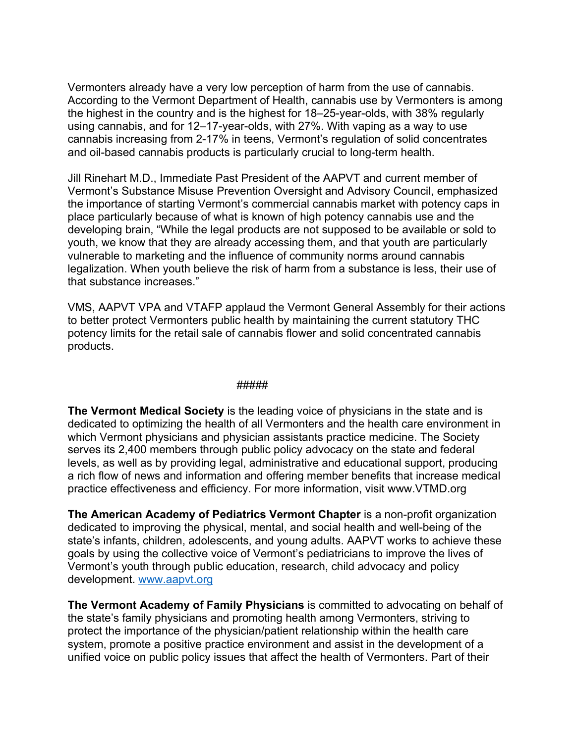Vermonters already have a very low perception of harm from the use of cannabis. According to the Vermont Department of Health, cannabis use by Vermonters is among the highest in the country and is the highest for 18–25-year-olds, with 38% regularly using cannabis, and for 12–17-year-olds, with 27%. With vaping as a way to use cannabis increasing from 2-17% in teens, Vermont's regulation of solid concentrates and oil-based cannabis products is particularly crucial to long-term health.

Jill Rinehart M.D., Immediate Past President of the AAPVT and current member of Vermont's Substance Misuse Prevention Oversight and Advisory Council, emphasized the importance of starting Vermont's commercial cannabis market with potency caps in place particularly because of what is known of high potency cannabis use and the developing brain, "While the legal products are not supposed to be available or sold to youth, we know that they are already accessing them, and that youth are particularly vulnerable to marketing and the influence of community norms around cannabis legalization. When youth believe the risk of harm from a substance is less, their use of that substance increases."

VMS, AAPVT VPA and VTAFP applaud the Vermont General Assembly for their actions to better protect Vermonters public health by maintaining the current statutory THC potency limits for the retail sale of cannabis flower and solid concentrated cannabis products.

## #####

**The Vermont Medical Society** is the leading voice of physicians in the state and is dedicated to optimizing the health of all Vermonters and the health care environment in which Vermont physicians and physician assistants practice medicine. The Society serves its 2,400 members through public policy advocacy on the state and federal levels, as well as by providing legal, administrative and educational support, producing a rich flow of news and information and offering member benefits that increase medical practice effectiveness and efficiency. For more information, visit www.VTMD.org

**The American Academy of Pediatrics Vermont Chapter** is a non-profit organization dedicated to improving the physical, mental, and social health and well-being of the state's infants, children, adolescents, and young adults. AAPVT works to achieve these goals by using the collective voice of Vermont's pediatricians to improve the lives of Vermont's youth through public education, research, child advocacy and policy development. www.aapvt.org

**The Vermont Academy of Family Physicians** is committed to advocating on behalf of the state's family physicians and promoting health among Vermonters, striving to protect the importance of the physician/patient relationship within the health care system, promote a positive practice environment and assist in the development of a unified voice on public policy issues that affect the health of Vermonters. Part of their